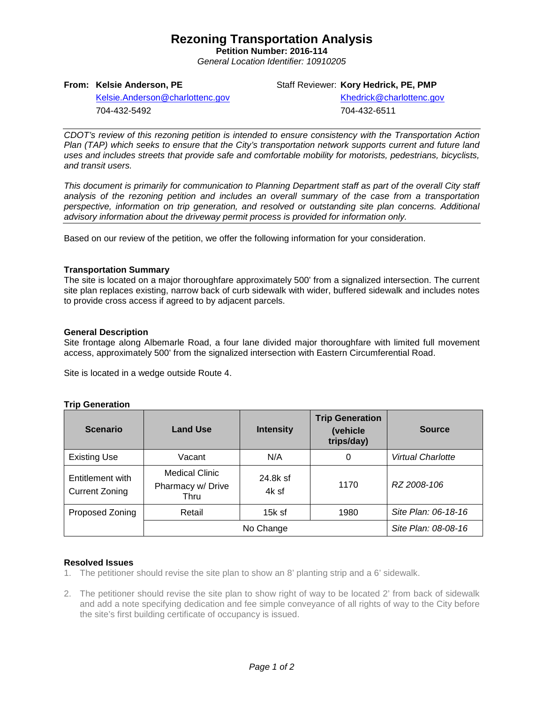# **Rezoning Transportation Analysis**

**Petition Number: 2016-114** *General Location Identifier: 10910205*

### **From: Kelsie Anderson, PE**

Staff Reviewer: **Kory Hedrick, PE, PMP**

[Kelsie.Anderson@charlottenc.gov](mailto:Kelsie.Anderson@charlottenc.gov) 704-432-5492

[Khedrick@charlottenc.gov](file://CHARLOTTE/CoCDFS/Planning/Applications/GIS%201/Development%20Services/Land_Development/Rezoning/2016/2016-110/Khedrick@charlottenc.gov) 704-432-6511

*CDOT's review of this rezoning petition is intended to ensure consistency with the Transportation Action Plan (TAP) which seeks to ensure that the City's transportation network supports current and future land uses and includes streets that provide safe and comfortable mobility for motorists, pedestrians, bicyclists, and transit users.*

*This document is primarily for communication to Planning Department staff as part of the overall City staff analysis of the rezoning petition and includes an overall summary of the case from a transportation perspective, information on trip generation, and resolved or outstanding site plan concerns. Additional advisory information about the driveway permit process is provided for information only.*

Based on our review of the petition, we offer the following information for your consideration.

#### **Transportation Summary**

The site is located on a major thoroughfare approximately 500' from a signalized intersection. The current site plan replaces existing, narrow back of curb sidewalk with wider, buffered sidewalk and includes notes to provide cross access if agreed to by adjacent parcels.

### **General Description**

Site frontage along Albemarle Road, a four lane divided major thoroughfare with limited full movement access, approximately 500' from the signalized intersection with Eastern Circumferential Road.

Site is located in a wedge outside Route 4.

#### **Trip Generation**

| <b>Scenario</b>                           | <b>Land Use</b>                                    | <b>Intensity</b>  | <b>Trip Generation</b><br>(vehicle)<br>trips/day) | <b>Source</b>            |
|-------------------------------------------|----------------------------------------------------|-------------------|---------------------------------------------------|--------------------------|
| <b>Existing Use</b>                       | Vacant                                             | N/A               | 0                                                 | <b>Virtual Charlotte</b> |
| Entitlement with<br><b>Current Zoning</b> | <b>Medical Clinic</b><br>Pharmacy w/ Drive<br>Thru | 24.8k sf<br>4k sf | 1170                                              | RZ 2008-106              |
| Proposed Zoning                           | Retail                                             | $15k$ sf          | 1980                                              | Site Plan: 06-18-16      |
|                                           | No Change                                          |                   |                                                   | Site Plan: 08-08-16      |

### **Resolved Issues**

1. The petitioner should revise the site plan to show an 8' planting strip and a 6' sidewalk.

2. The petitioner should revise the site plan to show right of way to be located 2' from back of sidewalk and add a note specifying dedication and fee simple conveyance of all rights of way to the City before the site's first building certificate of occupancy is issued.